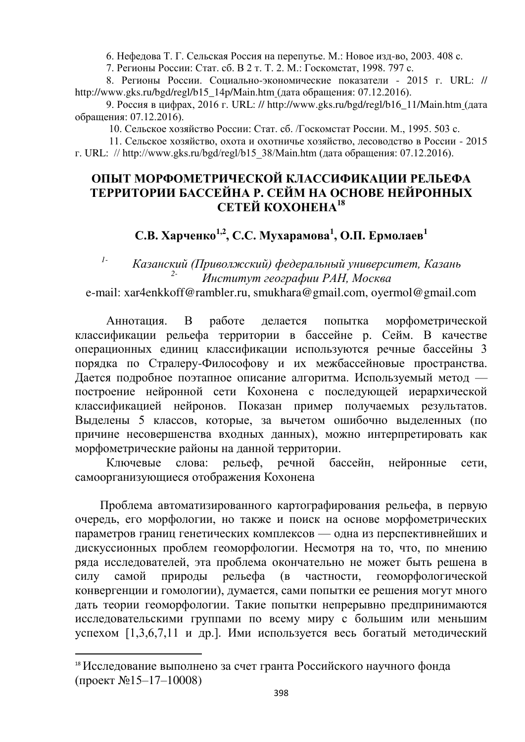6. Нефедова Т. Г. Сельская Россия на перепутье. М.: Новое изд-во, 2003. 408 с.

7. Регионы России: Стат. сб. В 2 т. Т. 2. М.: Госкомстат, 1998. 797 с.

8. Регионы России. Социально-экономические показатели - 2015 г. URL: // http://www.gks.ru/bgd/regl/b15\_14p/Main.htm (дата обращения:  $07.12.2016$ ).

9. Россия в цифрах, 2016 г. URL: // http://www.gks.ru/bgd/regl/b16\_11/Main.htm (дата обращения: 07.12.2016).

10. Сельское хозяйство России: Стат. сб. /Госкомстат России. М., 1995. 503 с.

11. Сельское хозяйство, охота и охотничье хозяйство, лесоводство в России - 2015

#### г. URL: // http://www.gks.ru/bgd/regl/b15 38/Main.htm (дата обращения: 07.12.2016).

### ОПЫТ МОРФОМЕТРИЧЕСКОЙ КЛАССИФИКАЦИИ РЕЛЬЕФА ТЕРРИТОРИИ БАССЕЙНА Р. СЕЙМ НА ОСНОВЕ НЕЙРОННЫХ СЕТЕЙ КОХОНЕНА<sup>18</sup>

# $\mathbf{C}.\mathbf{B}.$  Харченко<sup>1,2</sup>, С.С. Мухарамова<sup>1</sup>, О.П. Ермолаев<sup>1</sup>

## <sup>1-</sup> Казанский (Приволжский) федеральный университет, Казань  $H$ нститут географии РАН, Москва

e-mail: xar4enkkoff@rambler.ru, smukhara@gmail.com, oyermol@gmail.com

Аннотация. В работе делается попытка морфометрической классификации рельефа территории в бассейне р. Сейм. В качестве операционных единиц классификации используются речные бассейны 3 порядка по Стралеру-Философову и их межбассейновые пространства. Дается подробное поэтапное описание алгоритма. Используемый метод построение нейронной сети Кохонена с последующей иерархической классификацией нейронов. Показан пример получаемых результатов. Выделены 5 классов, которые, за вычетом ошибочно выделенных (по причине несовершенства входных данных), можно интерпретировать как морфометрические районы на данной территории.

Ключевые слова: рельеф, речной бассейн, нейронные сети, самоорганизующиеся отображения Кохонена

Проблема автоматизированного картографирования рельефа, в первую очередь, его морфологии, но также и поиск на основе морфометрических параметров границ генетических комплексов — одна из перспективнейших и дискуссионных проблем геоморфологии. Несмотря на то, что, по мнению ряда исследователей, эта проблема окончательно не может быть решена в силу самой природы рельефа (в частности, геоморфологической конвергенции и гомологии), думается, сами попытки ее решения могут много дать теории геоморфологии. Такие попытки непрерывно предпринимаются исследовательскими группами по всему миру с большим или меньшим успехом [1,3,6,7,11 и др.]. Ими используется весь богатый методический

 $\overline{a}$ 

<sup>&</sup>lt;sup>18</sup> Исследование выполнено за счет гранта Российского научного фонда  $(npoekT \& 15-17-10008)$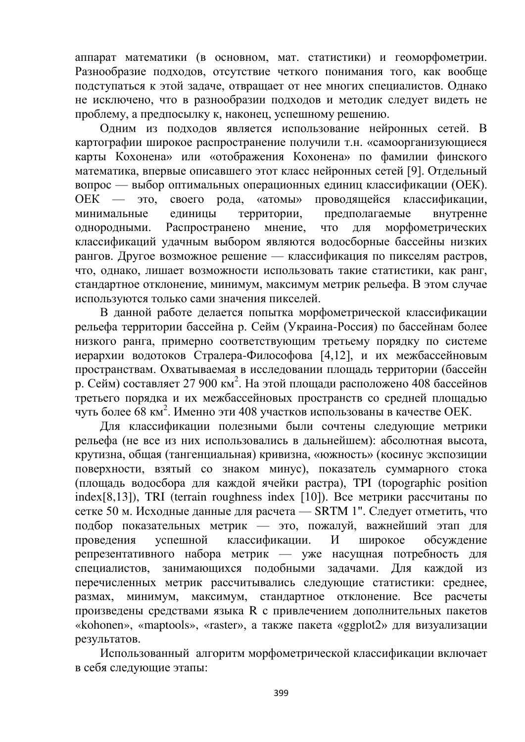аппарат математики (в основном, мат. статистики) и геоморфометрии. Разнообразие подходов, отсутствие четкого понимания того, как вообще подступаться к этой задаче, отвращает от нее многих специалистов. Однако не исключено, что в разнообразии подходов и методик следует видеть не проблему, а предпосылку к, наконец, успешному решению.

Одним из подходов является использование нейронных сетей. В картографии широкое распространение получили т.н. «самоорганизующиеся карты Кохонена» или «отображения Кохонена» по фамилии финского математика, впервые описавшего этот класс нейронных сетей [9]. Отдельный вопрос — выбор оптимальных операционных единиц классификации (ОЕК). ОЕК — это, своего рода, «атомы» проводящейся классификации, минимальные единицы территории, предполагаемые внутренне однородными. Распространено мнение, что для морфометрических классификаций удачным выбором являются водосборные бассейны низких рангов. Другое возможное решение — классификация по пикселям растров, что, однако, лишает возможности использовать такие статистики, как ранг, стандартное отклонение, минимум, максимум метрик рельефа. В этом случае используются только сами значения пикселей.

В данной работе делается попытка морфометрической классификации рельефа территории бассейна р. Сейм (Украина-Россия) по бассейнам более низкого ранга, примерно соответствующим третьему порядку по системе иерархии водотоков Стралера-Философова [4,12], и их межбассейновым пространствам. Охватываемая в исследовании площадь территории (бассейн р. Сейм) составляет 27 900 км<sup>2</sup>. На этой площади расположено 408 бассейнов третьего порядка и их межбассейновых пространств со средней площадью чуть более 68 км<sup>2</sup>. Именно эти 408 участков использованы в качестве ОЕК.

Для классификации полезными были сочтены следующие метрики рельефа (не все из них использовались в дальнейшем): абсолютная высота, крутизна, общая (тангенциальная) кривизна, «южность» (косинус экспозиции поверхности, взятый со знаком минус), показатель суммарного стока (площадь водосбора для каждой ячейки растра), TPI (topographic position index $[8,13]$ ), TRI (terrain roughness index  $[10]$ ). Все метрики рассчитаны по сетке 50 м. Исходные данные для расчета — SRTM 1". Следует отметить, что полбор показательных метрик — это, пожалуй, важнейший этап лля проведения успешной классификации. И широкое обсуждение репрезентативного набора метрик — уже насущная потребность для специалистов, занимающихся подобными задачами. Для каждой из перечисленных метрик рассчитывались следующие статистики: среднее, размах, минимум, максимум, стандартное отклонение. Все расчеты произведены средствами языка R с привлечением дополнительных пакетов «kohonen», «maptools», «raster», а также пакета «ggplot2» для визуализации результатов.

Использованный алгоритм морфометрической классификации включает в себя следующие этапы: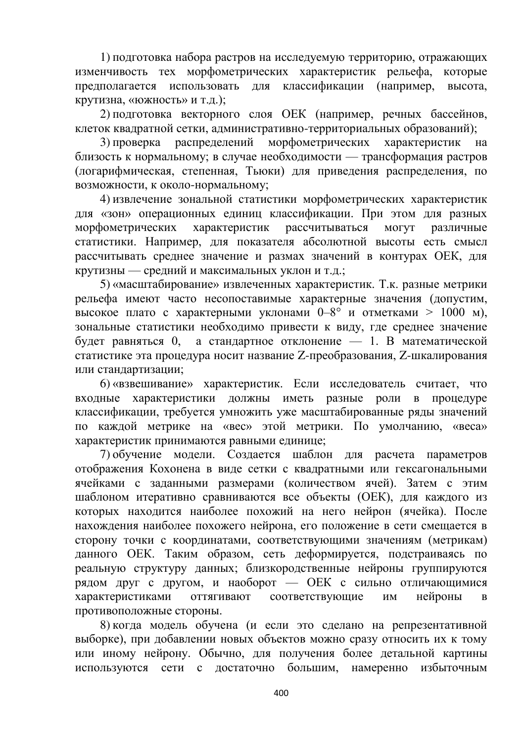1) подготовка набора растров на исследуемую территорию, отражающих изменчивость тех морфометрических характеристик рельефа, которые предполагается использовать для классификации (например, высота, крутизна, «южность» и т.д.);

2) подготовка векторного слоя ОЕК (например, речных бассейнов, клеток квадратной сетки, административно-территориальных образований);

3) проверка распределений морфометрических характеристик на близость к нормальному; в случае необходимости — трансформация растров (логарифмическая, степенная, Тьюки) для приведения распределения, по возможности, к около-нормальному;

4) извлечение зональной статистики морфометрических характеристик для «зон» операционных единиц классификации. При этом для разных морфометрических характеристик рассчитываться могут различные статистики. Например, для показателя абсолютной высоты есть смысл рассчитывать среднее значение и размах значений в контурах ОЕК, для крутизны — средний и максимальных уклон и т.д.;

5) «масштабирование» извлеченных характеристик. Т.к. разные метрики рельефа имеют часто несопоставимые характерные значения (допустим, высокое плато с характерными уклонами 0–8° и отметками > 1000 м), зональные статистики необходимо привести к виду, где среднее значение будет равняться 0, а стандартное отклонение — 1. В математической статистике эта процедура носит название Z-преобразования, Z-шкалирования или стандартизации;

6) «взвешивание» характеристик. Если исследователь считает, что входные характеристики должны иметь разные роли в процедуре классификации, требуется умножить уже масштабированные ряды значений по каждой метрике на «вес» этой метрики. По умолчанию, «веса» характеристик принимаются равными единице;

7) обучение модели. Создается шаблон для расчета параметров отображения Кохонена в виде сетки с квадратными или гексагональными ячейками с заданными размерами (количеством ячей). Затем с этим шаблоном итеративно сравниваются все объекты (ОЕК), для каждого из которых находится наиболее похожий на него нейрон (ячейка). После нахождения наиболее похожего нейрона, его положение в сети смешается в сторону точки с координатами, соответствующими значениям (метрикам) данного ОЕК. Таким образом, сеть деформируется, подстраиваясь по реальную структуру данных; близкородственные нейроны группируются рядом друг с другом, и наоборот — ОЕК с сильно отличающимися характеристиками оттягивают соответствующие им нейроны в противоположные стороны.

8) когда модель обучена (и если это сделано на репрезентативной выборке), при добавлении новых объектов можно сразу относить их к тому или иному нейрону. Обычно, для получения более детальной картины используются сети с достаточно большим, намеренно избыточным

400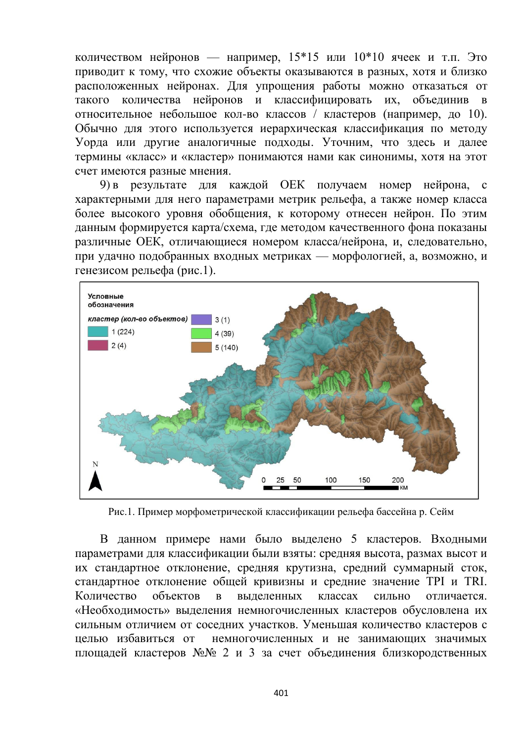количеством нейронов — например,  $15*15$  или  $10*10$  ячеек и т.п. Это приводит к тому, что схожие объекты оказываются в разных, хотя и близко расположенных нейронах. Для упрощения работы можно отказаться от такого количества нейронов и классифицировать их, объединив в относительное небольшое кол-во классов / кластеров (например, до 10). Обычно для этого используется иерархическая классификация по методу Уорда или другие аналогичные подходы. Уточним, что здесь и далее термины «класс» и «кластер» понимаются нами как синонимы, хотя на этот счет имеются разные мнения.

9) в результате для каждой ОЕК получаем номер нейрона, с характерными для него параметрами метрик рельефа, а также номер класса более высокого уровня обобщения, к которому отнесен нейрон. По этим данным формируется карта/схема, где методом качественного фона показаны различные ОЕК, отличающиеся номером класса/нейрона, и, следовательно, при удачно подобранных входных метриках — морфологией, а, возможно, и генезисом рельефа (рис.1).



Рис.1. Пример морфометрической классификации рельефа бассейна р. Сейм

В данном примере нами было выделено 5 кластеров. Входными параметрами для классификации были взяты: средняя высота, размах высот и их стандартное отклонение, средняя крутизна, средний суммарный сток, стандартное отклонение общей кривизны и средние значение ТРI и TRI. Количество объектов в выделенных классах сильно отличается. «Необходимость» выделения немногочисленных кластеров обусловлена их сильным отличием от соседних участков. Уменьшая количество кластеров с целью избавиться от немногочисленных и не занимающих значимых площадей кластеров №№ 2 и 3 за счет объединения близкородственных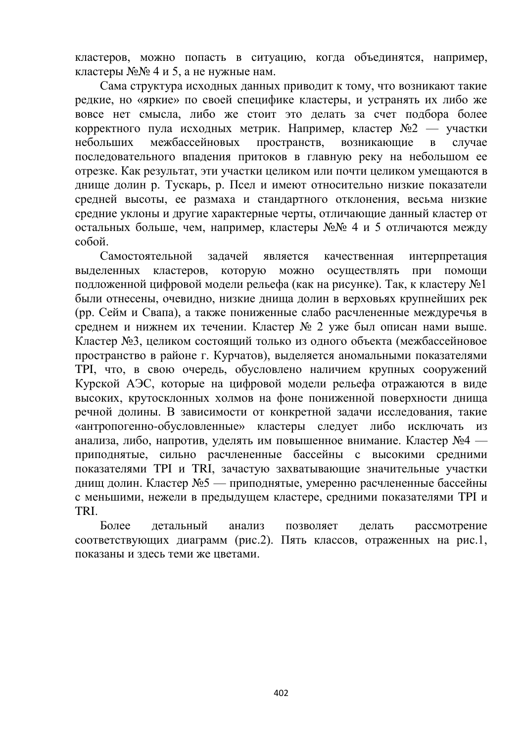кластеров, можно попасть в ситуацию, когда объединятся, например, кластеры  $\mathbb{N} \leq \mathbb{N} \leq 4$  и 5, а не нужные нам.

Сама структура исходных данных приводит к тому, что возникают такие редкие, но «яркие» по своей специфике кластеры, и устранять их либо же вовсе нет смысла, либо же стоит это делать за счет подбора более корректного пула исходных метрик. Например, кластер №2 — участки небольших межбассейновых пространств, возникающие в случае последовательного впадения притоков в главную реку на небольшом ее отрезке. Как результат, эти участки целиком или почти целиком умещаются в днище долин р. Тускарь, р. Псел и имеют относительно низкие показатели средней высоты, ее размаха и стандартного отклонения, весьма низкие средние уклоны и другие характерные черты, отличающие данный кластер от остальных больше, чем, например, кластеры №№ 4 и 5 отличаются между  $c$ обой.

Самостоятельной задачей является качественная интерпретация выделенных кластеров, которую можно осуществлять при помощи подложенной цифровой модели рельефа (как на рисунке). Так, к кластеру №1 были отнесены, очевидно, низкие днища долин в верховьях крупнейших рек (pp. Сейм и Свапа), а также пониженные слабо расчлененные междуречья в среднем и нижнем их течении. Кластер № 2 уже был описан нами выше. Кластер №3, целиком состоящий только из одного объекта (межбассейновое пространство в районе г. Курчатов), выделяется аномальными показателями TPI, что, в свою очередь, обусловлено наличием крупных сооружений Курской АЭС, которые на цифровой модели рельефа отражаются в виде высоких, крутосклонных холмов на фоне пониженной поверхности днища речной долины. В зависимости от конкретной задачи исследования, такие «антропогенно-обусловленные» кластеры следует либо исключать из анализа, либо, напротив, уделять им повышенное внимание. Кластер №4 приподнятые, сильно расчлененные бассейны с высокими средними показателями ТРІ и TRI, зачастую захватывающие значительные участки днищ долин. Кластер №5 — приподнятые, умеренно расчлененные бассейны с меньшими, нежели в предыдущем кластере, средними показателями ТРI и TRI.

Более детальный анализ позволяет делать рассмотрение соответствующих диаграмм (рис.2). Пять классов, отраженных на рис.1, показаны и злесь теми же цветами.

402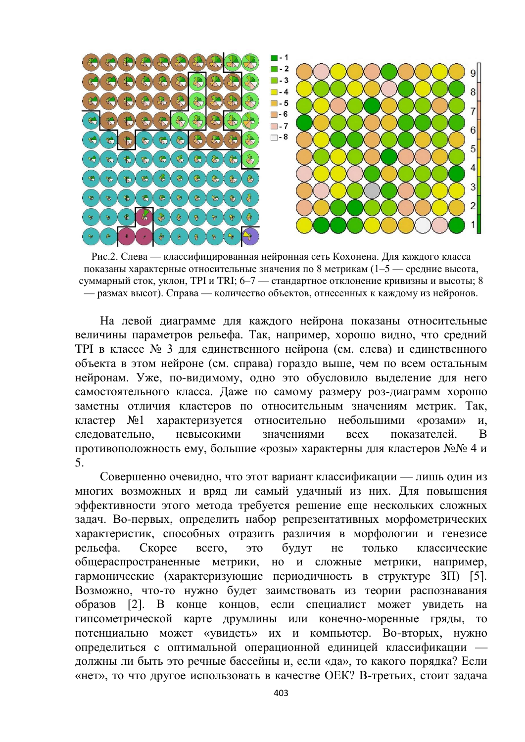

Рис.2. Слева — классифицированная нейронная сеть Кохонена. Для каждого класса показаны характерные относительные значения по 8 метрикам (1–5 — средние высота, суммарный сток, уклон, ТРІ и ТRI; 6–7 — стандартное отклонение кривизны и высоты; 8 — размах высот). Справа — количество объектов, отнесенных к каждому из нейронов.

На левой диаграмме для каждого нейрона показаны относительные величины параметров рельефа. Так, например, хорошо видно, что средний ТРІ в классе № 3 для единственного нейрона (см. слева) и единственного объекта в этом нейроне (см. справа) гораздо выше, чем по всем остальным нейронам. Уже, по-видимому, одно это обусловило выделение для него самостоятельного класса. Даже по самому размеру роз-диаграмм хорошо заметны отличия кластеров по относительным значениям метрик. Так, кластер №1 характеризуется относительно небольшими «розами» и, следовательно, невысокими значениями всех показателей. В противоположность ему, большие «розы» характерны для кластеров №№ 4 и 5.

Совершенно очевидно, что этот вариант классификации — лишь один из многих возможных и вряд ли самый удачный из них. Для повышения эффективности этого метода требуется решение еще нескольких сложных задач. Во-первых, определить набор репрезентативных морфометрических характеристик, способных отразить различия в морфологии и генезисе рельефа. Скорее всего, это будут не только классические общераспространенные метрики, но и сложные метрики, например, гармонические (характеризующие периодичность в структуре  $3\Pi$ ) [5]. Возможно, что-то нужно будет заимствовать из теории распознавания образов [2]. В конце концов, если специалист может увидеть на гипсометрической карте друмлины или конечно-моренные гряды, то потенциально может «увидеть» их и компьютер. Во-вторых, нужно определиться с оптимальной операционной единицей классификации должны ли быть это речные бассейны и, если «да», то какого порядка? Если «нет», то что другое использовать в качестве ОЕК? В-третьих, стоит задача

403